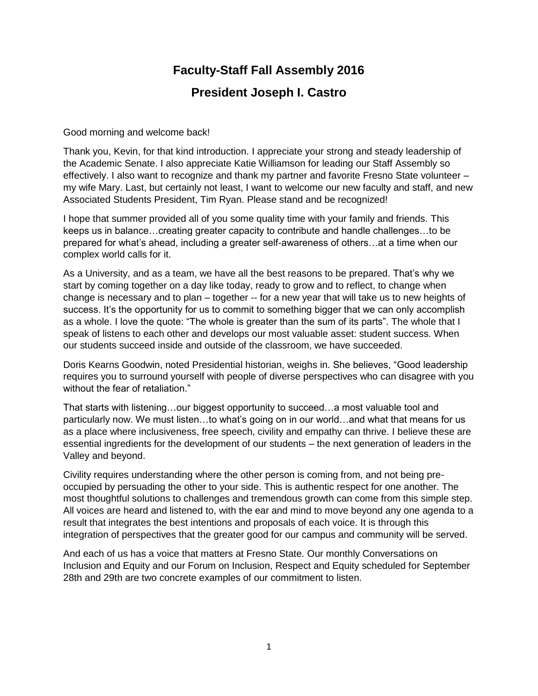## **Faculty-Staff Fall Assembly 2016**

## **President Joseph I. Castro**

Good morning and welcome back!

Thank you, Kevin, for that kind introduction. I appreciate your strong and steady leadership of the Academic Senate. I also appreciate Katie Williamson for leading our Staff Assembly so effectively. I also want to recognize and thank my partner and favorite Fresno State volunteer – my wife Mary. Last, but certainly not least, I want to welcome our new faculty and staff, and new Associated Students President, Tim Ryan. Please stand and be recognized!

I hope that summer provided all of you some quality time with your family and friends. This keeps us in balance…creating greater capacity to contribute and handle challenges…to be prepared for what's ahead, including a greater self-awareness of others…at a time when our complex world calls for it.

As a University, and as a team, we have all the best reasons to be prepared. That's why we start by coming together on a day like today, ready to grow and to reflect, to change when change is necessary and to plan – together -- for a new year that will take us to new heights of success. It's the opportunity for us to commit to something bigger that we can only accomplish as a whole. I love the quote: "The whole is greater than the sum of its parts". The whole that I speak of listens to each other and develops our most valuable asset: student success. When our students succeed inside and outside of the classroom, we have succeeded.

Doris Kearns Goodwin, noted Presidential historian, weighs in. She believes, "Good leadership requires you to surround yourself with people of diverse perspectives who can disagree with you without the fear of retaliation."

That starts with listening…our biggest opportunity to succeed…a most valuable tool and particularly now. We must listen…to what's going on in our world…and what that means for us as a place where inclusiveness, free speech, civility and empathy can thrive. I believe these are essential ingredients for the development of our students – the next generation of leaders in the Valley and beyond.

Civility requires understanding where the other person is coming from, and not being preoccupied by persuading the other to your side. This is authentic respect for one another. The most thoughtful solutions to challenges and tremendous growth can come from this simple step. All voices are heard and listened to, with the ear and mind to move beyond any one agenda to a result that integrates the best intentions and proposals of each voice. It is through this integration of perspectives that the greater good for our campus and community will be served.

And each of us has a voice that matters at Fresno State. Our monthly Conversations on Inclusion and Equity and our Forum on Inclusion, Respect and Equity scheduled for September 28th and 29th are two concrete examples of our commitment to listen.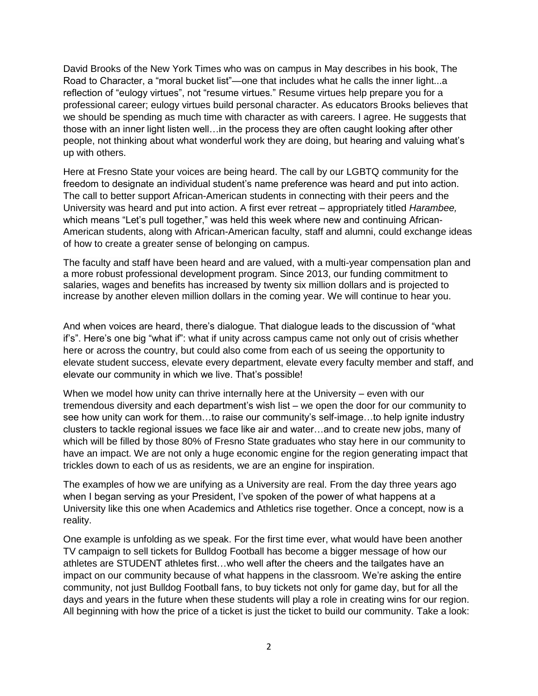David Brooks of the New York Times who was on campus in May describes in his book, The Road to Character, a "moral bucket list"—one that includes what he calls the inner light...a reflection of "eulogy virtues", not "resume virtues." Resume virtues help prepare you for a professional career; eulogy virtues build personal character. As educators Brooks believes that we should be spending as much time with character as with careers. I agree. He suggests that those with an inner light listen well…in the process they are often caught looking after other people, not thinking about what wonderful work they are doing, but hearing and valuing what's up with others.

Here at Fresno State your voices are being heard. The call by our LGBTQ community for the freedom to designate an individual student's name preference was heard and put into action. The call to better support African-American students in connecting with their peers and the University was heard and put into action. A first ever retreat – appropriately titled *Harambee,*  which means "Let's pull together," was held this week where new and continuing African-American students, along with African-American faculty, staff and alumni, could exchange ideas of how to create a greater sense of belonging on campus.

The faculty and staff have been heard and are valued, with a multi-year compensation plan and a more robust professional development program. Since 2013, our funding commitment to salaries, wages and benefits has increased by twenty six million dollars and is projected to increase by another eleven million dollars in the coming year. We will continue to hear you.

And when voices are heard, there's dialogue. That dialogue leads to the discussion of "what if's". Here's one big "what if": what if unity across campus came not only out of crisis whether here or across the country, but could also come from each of us seeing the opportunity to elevate student success, elevate every department, elevate every faculty member and staff, and elevate our community in which we live. That's possible!

When we model how unity can thrive internally here at the University – even with our tremendous diversity and each department's wish list – we open the door for our community to see how unity can work for them…to raise our community's self-image…to help ignite industry clusters to tackle regional issues we face like air and water…and to create new jobs, many of which will be filled by those 80% of Fresno State graduates who stay here in our community to have an impact. We are not only a huge economic engine for the region generating impact that trickles down to each of us as residents, we are an engine for inspiration.

The examples of how we are unifying as a University are real. From the day three years ago when I began serving as your President, I've spoken of the power of what happens at a University like this one when Academics and Athletics rise together. Once a concept, now is a reality.

One example is unfolding as we speak. For the first time ever, what would have been another TV campaign to sell tickets for Bulldog Football has become a bigger message of how our athletes are STUDENT athletes first…who well after the cheers and the tailgates have an impact on our community because of what happens in the classroom. We're asking the entire community, not just Bulldog Football fans, to buy tickets not only for game day, but for all the days and years in the future when these students will play a role in creating wins for our region. All beginning with how the price of a ticket is just the ticket to build our community. Take a look: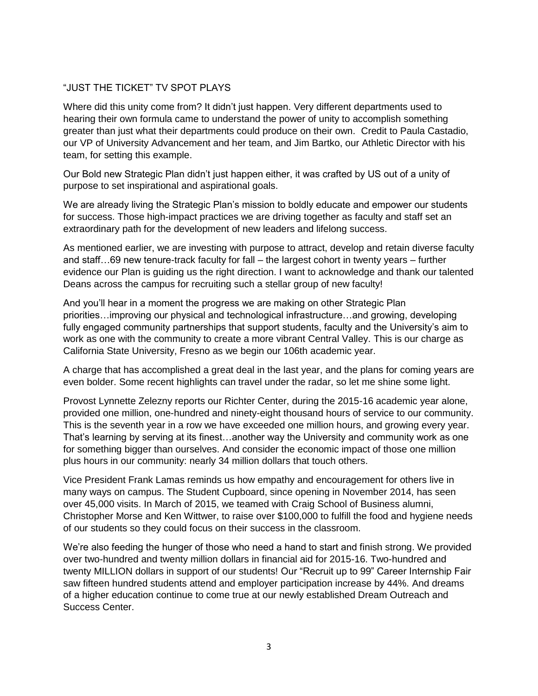## "JUST THE TICKET" TV SPOT PLAYS

Where did this unity come from? It didn't just happen. Very different departments used to hearing their own formula came to understand the power of unity to accomplish something greater than just what their departments could produce on their own. Credit to Paula Castadio, our VP of University Advancement and her team, and Jim Bartko, our Athletic Director with his team, for setting this example.

Our Bold new Strategic Plan didn't just happen either, it was crafted by US out of a unity of purpose to set inspirational and aspirational goals.

We are already living the Strategic Plan's mission to boldly educate and empower our students for success. Those high-impact practices we are driving together as faculty and staff set an extraordinary path for the development of new leaders and lifelong success.

As mentioned earlier, we are investing with purpose to attract, develop and retain diverse faculty and staff…69 new tenure-track faculty for fall – the largest cohort in twenty years – further evidence our Plan is guiding us the right direction. I want to acknowledge and thank our talented Deans across the campus for recruiting such a stellar group of new faculty!

And you'll hear in a moment the progress we are making on other Strategic Plan priorities…improving our physical and technological infrastructure…and growing, developing fully engaged community partnerships that support students, faculty and the University's aim to work as one with the community to create a more vibrant Central Valley. This is our charge as California State University, Fresno as we begin our 106th academic year.

A charge that has accomplished a great deal in the last year, and the plans for coming years are even bolder. Some recent highlights can travel under the radar, so let me shine some light.

Provost Lynnette Zelezny reports our Richter Center, during the 2015-16 academic year alone, provided one million, one-hundred and ninety-eight thousand hours of service to our community. This is the seventh year in a row we have exceeded one million hours, and growing every year. That's learning by serving at its finest…another way the University and community work as one for something bigger than ourselves. And consider the economic impact of those one million plus hours in our community: nearly 34 million dollars that touch others.

Vice President Frank Lamas reminds us how empathy and encouragement for others live in many ways on campus. The Student Cupboard, since opening in November 2014, has seen over 45,000 visits. In March of 2015, we teamed with Craig School of Business alumni, Christopher Morse and Ken Wittwer, to raise over \$100,000 to fulfill the food and hygiene needs of our students so they could focus on their success in the classroom.

We're also feeding the hunger of those who need a hand to start and finish strong. We provided over two-hundred and twenty million dollars in financial aid for 2015-16. Two-hundred and twenty MILLION dollars in support of our students! Our "Recruit up to 99" Career Internship Fair saw fifteen hundred students attend and employer participation increase by 44%. And dreams of a higher education continue to come true at our newly established Dream Outreach and Success Center.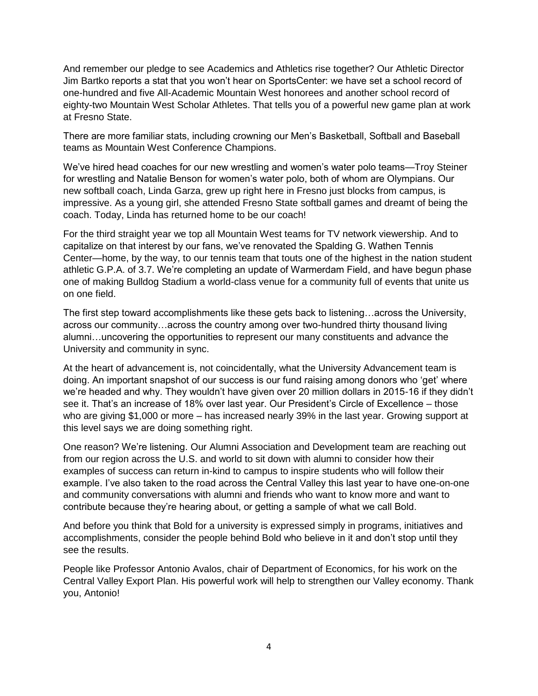And remember our pledge to see Academics and Athletics rise together? Our Athletic Director Jim Bartko reports a stat that you won't hear on SportsCenter: we have set a school record of one-hundred and five All-Academic Mountain West honorees and another school record of eighty-two Mountain West Scholar Athletes. That tells you of a powerful new game plan at work at Fresno State.

There are more familiar stats, including crowning our Men's Basketball, Softball and Baseball teams as Mountain West Conference Champions.

We've hired head coaches for our new wrestling and women's water polo teams—Troy Steiner for wrestling and Natalie Benson for women's water polo, both of whom are Olympians. Our new softball coach, Linda Garza, grew up right here in Fresno just blocks from campus, is impressive. As a young girl, she attended Fresno State softball games and dreamt of being the coach. Today, Linda has returned home to be our coach!

For the third straight year we top all Mountain West teams for TV network viewership. And to capitalize on that interest by our fans, we've renovated the Spalding G. Wathen Tennis Center—home, by the way, to our tennis team that touts one of the highest in the nation student athletic G.P.A. of 3.7. We're completing an update of Warmerdam Field, and have begun phase one of making Bulldog Stadium a world-class venue for a community full of events that unite us on one field.

The first step toward accomplishments like these gets back to listening…across the University, across our community…across the country among over two-hundred thirty thousand living alumni…uncovering the opportunities to represent our many constituents and advance the University and community in sync.

At the heart of advancement is, not coincidentally, what the University Advancement team is doing. An important snapshot of our success is our fund raising among donors who 'get' where we're headed and why. They wouldn't have given over 20 million dollars in 2015-16 if they didn't see it. That's an increase of 18% over last year. Our President's Circle of Excellence – those who are giving \$1,000 or more – has increased nearly 39% in the last year. Growing support at this level says we are doing something right.

One reason? We're listening. Our Alumni Association and Development team are reaching out from our region across the U.S. and world to sit down with alumni to consider how their examples of success can return in-kind to campus to inspire students who will follow their example. I've also taken to the road across the Central Valley this last year to have one-on-one and community conversations with alumni and friends who want to know more and want to contribute because they're hearing about, or getting a sample of what we call Bold.

And before you think that Bold for a university is expressed simply in programs, initiatives and accomplishments, consider the people behind Bold who believe in it and don't stop until they see the results.

People like Professor Antonio Avalos, chair of Department of Economics, for his work on the Central Valley Export Plan. His powerful work will help to strengthen our Valley economy. Thank you, Antonio!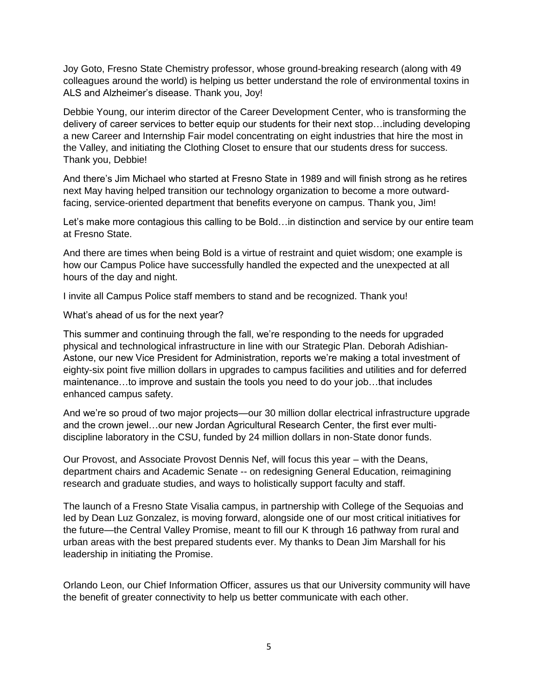Joy Goto, Fresno State Chemistry professor, whose ground-breaking research (along with 49 colleagues around the world) is helping us better understand the role of environmental toxins in ALS and Alzheimer's disease. Thank you, Joy!

Debbie Young, our interim director of the Career Development Center, who is transforming the delivery of career services to better equip our students for their next stop…including developing a new Career and Internship Fair model concentrating on eight industries that hire the most in the Valley, and initiating the Clothing Closet to ensure that our students dress for success. Thank you, Debbie!

And there's Jim Michael who started at Fresno State in 1989 and will finish strong as he retires next May having helped transition our technology organization to become a more outwardfacing, service-oriented department that benefits everyone on campus. Thank you, Jim!

Let's make more contagious this calling to be Bold…in distinction and service by our entire team at Fresno State.

And there are times when being Bold is a virtue of restraint and quiet wisdom; one example is how our Campus Police have successfully handled the expected and the unexpected at all hours of the day and night.

I invite all Campus Police staff members to stand and be recognized. Thank you!

What's ahead of us for the next year?

This summer and continuing through the fall, we're responding to the needs for upgraded physical and technological infrastructure in line with our Strategic Plan. Deborah Adishian-Astone, our new Vice President for Administration, reports we're making a total investment of eighty-six point five million dollars in upgrades to campus facilities and utilities and for deferred maintenance…to improve and sustain the tools you need to do your job…that includes enhanced campus safety.

And we're so proud of two major projects—our 30 million dollar electrical infrastructure upgrade and the crown jewel…our new Jordan Agricultural Research Center, the first ever multidiscipline laboratory in the CSU, funded by 24 million dollars in non-State donor funds.

Our Provost, and Associate Provost Dennis Nef, will focus this year – with the Deans, department chairs and Academic Senate -- on redesigning General Education, reimagining research and graduate studies, and ways to holistically support faculty and staff.

The launch of a Fresno State Visalia campus, in partnership with College of the Sequoias and led by Dean Luz Gonzalez, is moving forward, alongside one of our most critical initiatives for the future—the Central Valley Promise, meant to fill our K through 16 pathway from rural and urban areas with the best prepared students ever. My thanks to Dean Jim Marshall for his leadership in initiating the Promise.

Orlando Leon, our Chief Information Officer, assures us that our University community will have the benefit of greater connectivity to help us better communicate with each other.